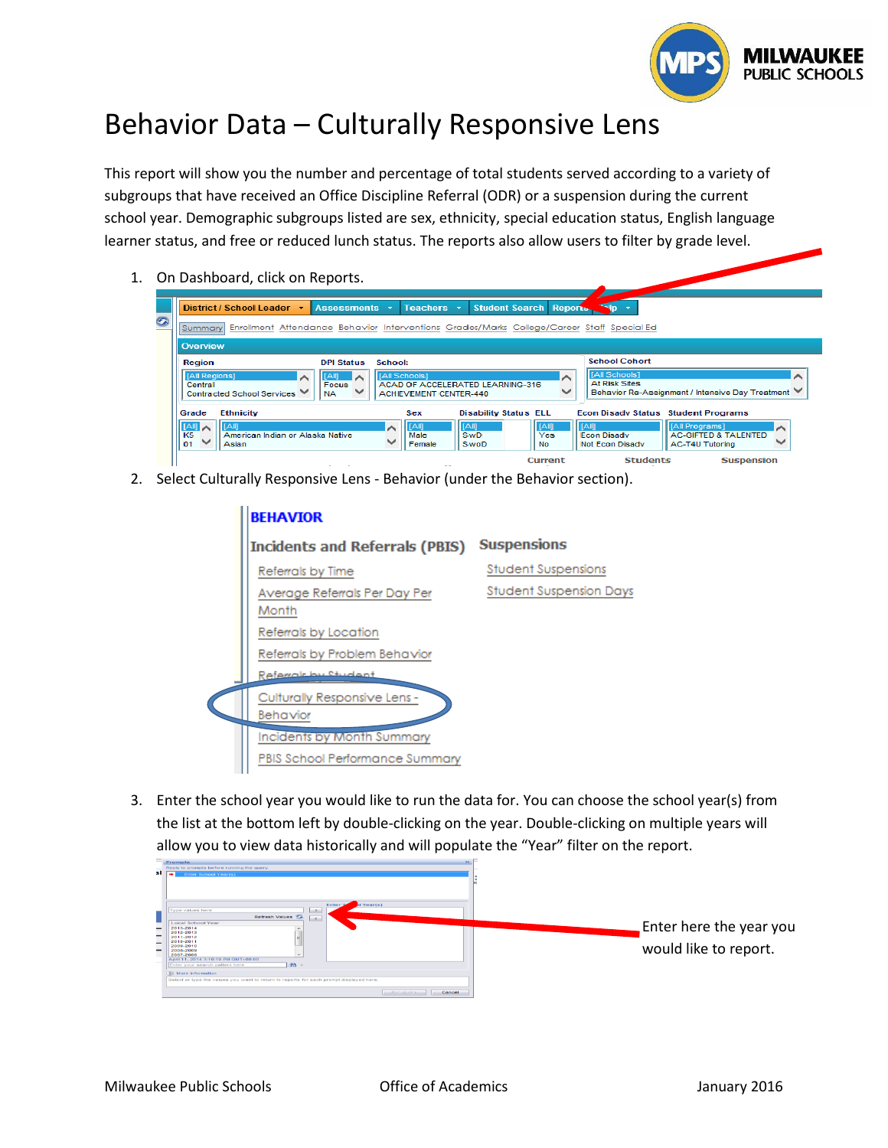

## Behavior Data – Culturally Responsive Lens

This report will show you the number and percentage of total students served according to a variety of subgroups that have received an Office Discipline Referral (ODR) or a suspension during the current school year. Demographic subgroups listed are sex, ethnicity, special education status, English language learner status, and free or reduced lunch status. The reports also allow users to filter by grade level.

1. On Dashboard, click on Reports.

| District / School Leader +<br>Enrollment Attendance Behavior Interventions Grades/Marks College/Career Staff Special Ed<br>Summarvi | Assessments *                                             | Teachers $\rightarrow$                               | <b>Student Search Reports.</b>   |                        | Nn                                                                                                                |                                                                                  |  |  |  |
|-------------------------------------------------------------------------------------------------------------------------------------|-----------------------------------------------------------|------------------------------------------------------|----------------------------------|------------------------|-------------------------------------------------------------------------------------------------------------------|----------------------------------------------------------------------------------|--|--|--|
| <b>Overview</b>                                                                                                                     |                                                           |                                                      |                                  |                        |                                                                                                                   |                                                                                  |  |  |  |
| Region                                                                                                                              | <b>DPI Status</b><br>School:                              |                                                      |                                  |                        | <b>School Cohort</b><br>[All Schools]<br><b>At Risk Sites</b><br>Behavior Re-Assignment / Intensive Day Treatment |                                                                                  |  |  |  |
| [All Regions]<br>Central<br><b>Contracted School Services</b>                                                                       | l[All]∶<br>∼<br><b>Focus</b><br>$\checkmark$<br><b>NA</b> | <b>All Schools1</b><br><b>ACHIEVEMENT CENTER-440</b> | ACAD OF ACCELERATED LEARNING-316 | $\sim$<br>$\checkmark$ |                                                                                                                   |                                                                                  |  |  |  |
| <b>Ethnicity</b><br>Grade                                                                                                           |                                                           | Sex                                                  | <b>Disability Status ELL</b>     |                        |                                                                                                                   | <b>Econ Disady Status Student Programs</b>                                       |  |  |  |
| <b>TAIR</b><br>$[A \mathbb{I}] \wedge$<br>K <sub>5</sub><br>American Indian or Alaska Native<br>$\checkmark$<br>01<br>Asian         | ᄉ<br>$\checkmark$                                         | [All]<br>Male<br>Female                              | [All]<br><b>SwD</b><br>SwoD      | $A$ ll<br>Yes<br>No    | <b>TAIR</b><br><b>Econ Disady</b><br><b>Not Econ Disadv</b>                                                       | [All Programs]<br>⌒<br><b>AC-GIFTED &amp; TALENTED</b><br><b>AC-T4U Tutoring</b> |  |  |  |

2. Select Culturally Responsive Lens - Behavior (under the Behavior section).

| <b>BEHAVIOR</b>                          |                            |
|------------------------------------------|----------------------------|
| <b>Incidents and Referrals (PBIS)</b>    | <b>Suspensions</b>         |
| Referrals by Time                        | <b>Student Suspensions</b> |
| Average Referrals Per Day Per<br>Month   | Student Suspension Days    |
| Referrals by Location                    |                            |
| Referrals by Problem Behavior            |                            |
| Referrals by Student                     |                            |
| Culturally Responsive Lens -<br>Behavior |                            |
| Incidents by Month Summary               |                            |
| PBIS School Performance Summary          |                            |

3. Enter the school year you would like to run the data for. You can choose the school year(s) from the list at the bottom left by double-clicking on the year. Double-clicking on multiple years will allow you to view data historically and will populate the "Year" filter on the report.

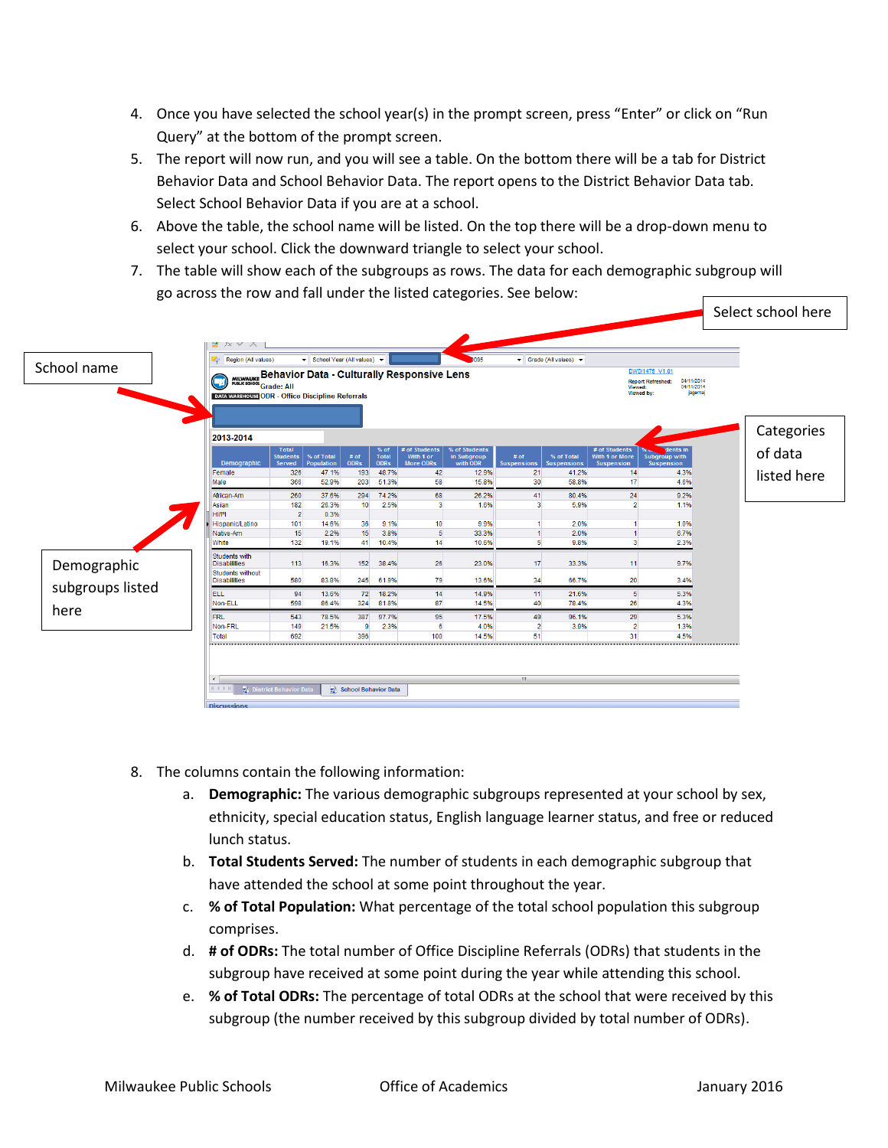- 4. Once you have selected the school year(s) in the prompt screen, press "Enter" or click on "Run Query" at the bottom of the prompt screen.
- 5. The report will now run, and you will see a table. On the bottom there will be a tab for District Behavior Data and School Behavior Data. The report opens to the District Behavior Data tab. Select School Behavior Data if you are at a school.
- 6. Above the table, the school name will be listed. On the top there will be a drop-down menu to select your school. Click the downward triangle to select your school.
- 7. The table will show each of the subgroups as rows. The data for each demographic subgroup will go across the row and fall under the listed categories. See below:



- 8. The columns contain the following information:
	- a. **Demographic:** The various demographic subgroups represented at your school by sex, ethnicity, special education status, English language learner status, and free or reduced lunch status.
	- b. **Total Students Served:** The number of students in each demographic subgroup that have attended the school at some point throughout the year.
	- c. **% of Total Population:** What percentage of the total school population this subgroup comprises.
	- d. **# of ODRs:** The total number of Office Discipline Referrals (ODRs) that students in the subgroup have received at some point during the year while attending this school.
	- e. **% of Total ODRs:** The percentage of total ODRs at the school that were received by this subgroup (the number received by this subgroup divided by total number of ODRs).